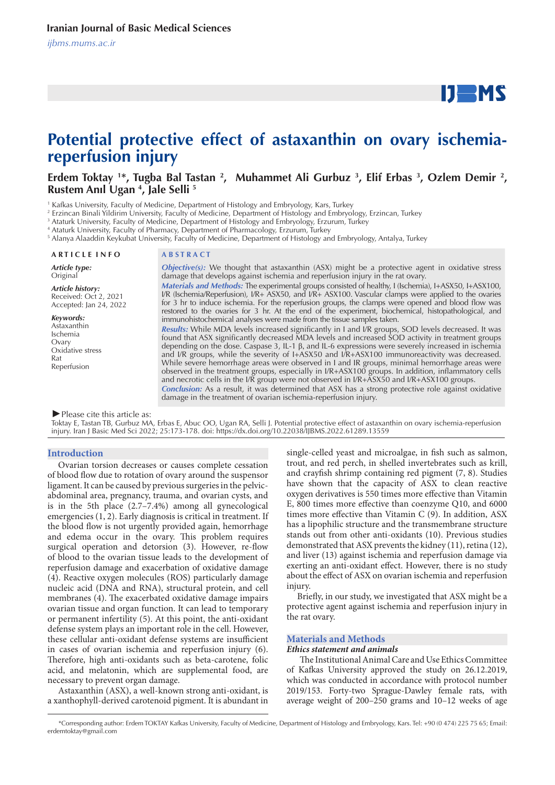

# **Potential protective effect of astaxanthin on ovary ischemiareperfusion injury**

# Erdem Toktay <sup>1\*</sup>, Tugba Bal Tastan <sup>2</sup>, Muhammet Ali Gurbuz <sup>3</sup>, Elif Erbas <sup>3</sup>, Ozlem Demir <sup>2</sup>, **Rustem Anıl Ugan 4 , Jale Selli 5**

1 Kafkas University, Faculty of Medicine, Department of Histology and Embryology, Kars, Turkey

2 Erzincan Binali Yildirim University, Faculty of Medicine, Department of Histology and Embryology, Erzincan, Turkey

3 Ataturk University, Faculty of Medicine, Department of Histology and Embryology, Erzurum, Turkey

4 Ataturk University, Faculty of Pharmacy, Department of Pharmacology, Erzurum, Turkey

5 Alanya Alaaddin Keykubat University, Faculty of Medicine, Department of Histology and Embryology, Antalya, Turkey

## **A R T I C L E I N F O A B S T R A C T**

*Article type:*

Original

*Article history:* Received: Oct 2, 2021 Accepted: Jan 24, 2022

*Keywords:*

Astaxanthin Ischemia Ovary Oxidative stress Rat Reperfusion

*Objective(s):* We thought that astaxanthin (ASX) might be a protective agent in oxidative stress damage that develops against ischemia and reperfusion injury in the rat ovary. *Materials and Methods:* The experimental groups consisted of healthy, I (Ischemia), I+ASX50, I+ASX100,

I/R (Ischemia/Reperfusion), I/R+ ASX50, and I/R+ ASX100. Vascular clamps were applied to the ovaries for 3 hr to induce ischemia. For the reperfusion groups, the clamps were opened and blood flow was restored to the ovaries for 3 hr. At the end of the experiment, biochemical, histopathological, and immunohistochemical analyses were made from the tissue samples taken. *Results:* While MDA levels increased significantly in I and I/R groups, SOD levels decreased. It was

found that ASX significantly decreased MDA levels and increased SOD activity in treatment groups depending on the dose. Caspase 3, IL-1 β, and IL-6 expressions were severely increased in ischemia and I/R groups, while the severity of I+ASX50 and I/R+ASX100 immunoreactivity was decreased. While severe hemorrhage areas were observed in I and IR groups, minimal hemorrhage areas were observed in the treatment groups, especially in I/R+ASX100 groups. In addition, inflammatory cells and necrotic cells in the I/R group were not observed in I/R+ASX50 and I/R+ASX100 groups.

*Conclusion:* As a result, it was determined that ASX has a strong protective role against oxidative damage in the treatment of ovarian ischemia-reperfusion injury.

# *►*Please cite this article as:

Toktay E, Tastan TB, Gurbuz MA, Erbas E, Abuc OO, Ugan RA, Selli J. Potential protective effect of astaxanthin on ovary ischemia-reperfusion injury. Iran J Basic Med Sci 2022; 25:173-178. doi: https://dx.doi.org/10.22038/IJBMS.2022.61289.13559

# **Introduction**

Ovarian torsion decreases or causes complete cessation of blood flow due to rotation of ovary around the suspensor ligament. It can be caused by previous surgeries in the pelvicabdominal area, pregnancy, trauma, and ovarian cysts, and is in the 5th place (2.7–7.4%) among all gynecological emergencies (1, 2). Early diagnosis is critical in treatment. If the blood flow is not urgently provided again, hemorrhage and edema occur in the ovary. This problem requires surgical operation and detorsion (3). However, re-flow of blood to the ovarian tissue leads to the development of reperfusion damage and exacerbation of oxidative damage (4). Reactive oxygen molecules (ROS) particularly damage nucleic acid (DNA and RNA), structural protein, and cell membranes (4). The exacerbated oxidative damage impairs ovarian tissue and organ function. It can lead to temporary or permanent infertility (5). At this point, the anti-oxidant defense system plays an important role in the cell. However, these cellular anti-oxidant defense systems are insufficient in cases of ovarian ischemia and reperfusion injury (6). Therefore, high anti-oxidants such as beta-carotene, folic acid, and melatonin, which are supplemental food, are necessary to prevent organ damage.

Astaxanthin (ASX), a well-known strong anti-oxidant, is a xanthophyll-derived carotenoid pigment. It is abundant in single-celled yeast and microalgae, in fish such as salmon, trout, and red perch, in shelled invertebrates such as krill, and crayfish shrimp containing red pigment (7, 8). Studies have shown that the capacity of ASX to clean reactive oxygen derivatives is 550 times more effective than Vitamin E, 800 times more effective than coenzyme Q10, and 6000 times more effective than Vitamin C (9). In addition, ASX has a lipophilic structure and the transmembrane structure stands out from other anti-oxidants (10). Previous studies demonstrated that ASX prevents the kidney (11), retina (12), and liver (13) against ischemia and reperfusion damage via exerting an anti-oxidant effect. However, there is no study about the effect of ASX on ovarian ischemia and reperfusion injury.

Briefly, in our study, we investigated that ASX might be a protective agent against ischemia and reperfusion injury in the rat ovary.

# **Materials and Methods**

# *Ethics statement and animals*

 The Institutional Animal Care and Use Ethics Committee of Kafkas University approved the study on 26.12.2019, which was conducted in accordance with protocol number 2019/153. Forty-two Sprague-Dawley female rats, with average weight of 200–250 grams and 10–12 weeks of age

 <sup>\*</sup>Corresponding author: Erdem TOKTAY Kafkas University, Faculty of Medicine, Department of Histology and Embryology, Kars. Tel: +90 (0 474) 225 75 65; Email: erdemtoktay@gmail.com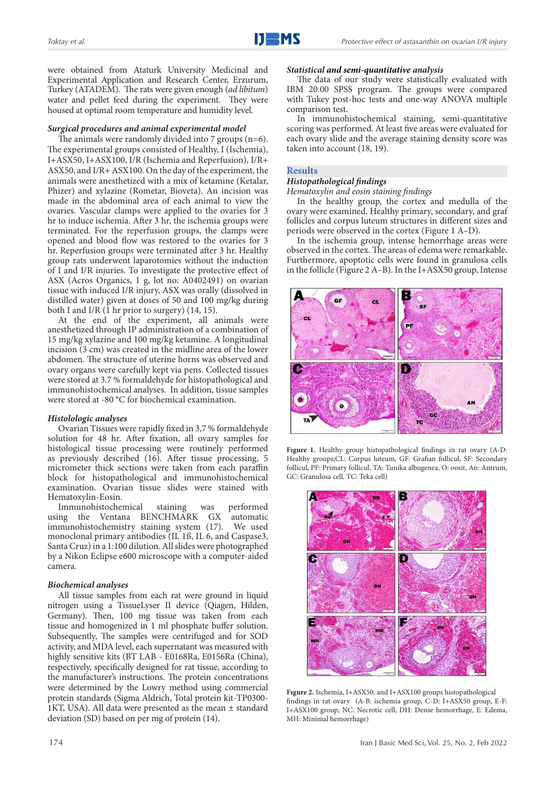were obtained from Ataturk University Medicinal and Experimental Application and Research Center, Erzurum, Turkey (ATADEM). The rats were given enough (*ad libitum*) water and pellet feed during the experiment. They were housed at optimal room temperature and humidity level.

# *Surgical procedures and animal experimental model*

The animals were randomly divided into 7 groups (n=6). The experimental groups consisted of Healthy, I (Ischemia), I+ASX50, I+ASX100, I/R (Ischemia and Reperfusion), I/R+ ASX50, and I/R+ ASX100. On the day of the experiment, the animals were anesthetized with a mix of ketamine (Ketalar, Phizer) and xylazine (Rometar, Bioveta). An incision was made in the abdominal area of each animal to view the ovaries. Vascular clamps were applied to the ovaries for 3 hr to induce ischemia. After 3 hr, the ischemia groups were terminated. For the reperfusion groups, the clamps were opened and blood flow was restored to the ovaries for 3 hr. Reperfusion groups were terminated after 3 hr. Healthy group rats underwent laparotomies without the induction of I and I/R injuries. To investigate the protective effect of ASX (Acros Organics, 1 g, lot no: A0402491) on ovarian tissue with induced I/R injury, ASX was orally (dissolved in distilled water) given at doses of 50 and 100 mg/kg during both I and I/R  $(1 \text{ hr})$  prior to surgery)  $(14, 15)$ .

At the end of the experiment, all animals were anesthetized through IP administration of a combination of 15 mg/kg xylazine and 100 mg/kg ketamine. A longitudinal incision (3 cm) was created in the midline area of the lower abdomen. The structure of uterine horns was observed and ovary organs were carefully kept via pens. Collected tissues were stored at 3.7 % formaldehyde for histopathological and immunohistochemical analyses. In addition, tissue samples were stored at -80 °C for biochemical examination.

# *Histolologic analyses*

Ovarian Tissues were rapidly fixed in 3,7 % formaldehyde solution for 48 hr. After fixation, all ovary samples for histological tissue processing were routinely performed as previously described (16). After tissue processing, 5 micrometer thick sections were taken from each paraffin block for histopathological and immunohistochemical examination. Ovarian tissue slides were stained with Hematoxylin-Eosin.

Immunohistochemical staining was performed using the Ventana BENCHMARK GX automatic immunohistochemistry staining system (17). We used monoclonal primary antibodies (IL 1ß, IL 6, and Caspase3, Santa Cruz) in a 1:100 dilution. All slides were photographed by a Nikon Eclipse e600 microscope with a computer-aided camera.

# *Biochemical analyses*

All tissue samples from each rat were ground in liquid nitrogen using a TissueLyser II device (Qiagen, Hilden, Germany). Then, 100 mg tissue was taken from each tissue and homogenized in 1 ml phosphate buffer solution. Subsequently, The samples were centrifuged and for SOD activity, and MDA level, each supernatant was measured with highly sensitive kits (BT LAB - E0168Ra, E0156Ra (China), respectively, specifically designed for rat tissue, according to the manufacturer's instructions. The protein concentrations were determined by the Lowry method using commercial protein standards (Sigma Aldrich, Total protein kit-TP0300- 1KT, USA). All data were presented as the mean ± standard deviation (SD) based on per mg of protein (14).

# *Statistical and semi-quantitative analysis*

The data of our study were statistically evaluated with IBM 20.00 SPSS program. The groups were compared with Tukey post-hoc tests and one-way ANOVA multiple comparison test.

In immunohistochemical staining, semi-quantitative scoring was performed. At least five areas were evaluated for each ovary slide and the average staining density score was taken into account (18, 19).

# **Results**

# *Histopathological findings*

*Hematoxylin and eosin staining findings*

In the healthy group, the cortex and medulla of the ovary were examined. Healthy primary, secondary, and graf follicles and corpus luteum structures in different sizes and periods were observed in the cortex (Figure 1 A–D).

In the ischemia group, intense hemorrhage areas were observed in the cortex. The areas of edema were remarkable. Furthermore, apoptotic cells were found in granulosa cells in the follicle (Figure 2 A–B). In the I+ASX50 group, Intense



**Fıgure 1.** Healthy group histopathological findings in rat ovary (A-D: Healthy groups;CL: Corpus luteum, GF: Grafian follicul, SF: Secondary follicul, PF: Primary follicul, TA: Tunika albugenea, O: oosit, An: Antrum, GC: Granulosa cell, TC: Teka cell)



**Fıgure 2.** Ischemia, I+ASX50, and I+ASX100 groups histopathological findings in rat ovary (A-B: ischemia group, C-D: I+ASX50 group, E-F: I+ASX100 group; NC: Necrotic cell, DH: Dense hemorrhage, E: Edema, MH: Minimal hemorrhage)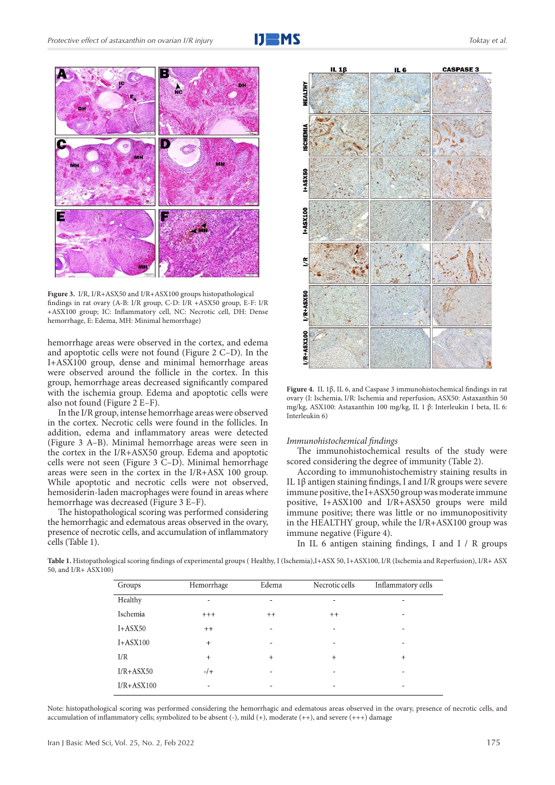



**Fıgure 3.** I/R, I/R+ASX50 and I/R+ASX100 groups histopathological findings in rat ovary (A-B: I/R group, C-D: I/R +ASX50 group, E-F: I/R +ASX100 group; IC: Inflammatory cell, NC: Necrotic cell, DH: Dense hemorrhage, E: Edema, MH: Minimal hemorrhage)

hemorrhage areas were observed in the cortex, and edema and apoptotic cells were not found (Figure 2 C–D). In the I+ASX100 group, dense and minimal hemorrhage areas were observed around the follicle in the cortex. In this group, hemorrhage areas decreased significantly compared with the ischemia group. Edema and apoptotic cells were also not found (Figure  $2$  E–F).

In the I/R group, intense hemorrhage areas were observed in the cortex. Necrotic cells were found in the follicles. In addition, edema and inflammatory areas were detected (Figure 3 A–B). Minimal hemorrhage areas were seen in the cortex in the I/R+ASX50 group. Edema and apoptotic cells were not seen (Figure 3 C–D). Minimal hemorrhage areas were seen in the cortex in the I/R+ASX 100 group. While apoptotic and necrotic cells were not observed, hemosiderin-laden macrophages were found in areas where hemorrhage was decreased (Figure 3 E–F).

The histopathological scoring was performed considering the hemorrhagic and edematous areas observed in the ovary, presence of necrotic cells, and accumulation of inflammatory cells (Table 1).



**Figure 4.** IL 1β, IL 6, and Caspase 3 immunohistochemical findings in rat ovary (I: Ischemia, I/R: Ischemia and reperfusion, ASX50: Astaxanthin 50 mg/kg, ASX100: Astaxanthin 100 mg/kg, IL 1 β: Interleukin 1 beta, IL 6: Interleukin 6)

# *Immunohistochemical findings*

The immunohistochemical results of the study were scored considering the degree of immunity (Table 2).

According to immunohistochemistry staining results in IL 1β antigen staining findings, I and I/R groups were severe immune positive, the I+ASX50 group was moderate immune positive, I+ASX100 and I/R+ASX50 groups were mild immune positive; there was little or no immunopositivity in the HEALTHY group, while the I/R+ASX100 group was immune negative (Figure 4).

In IL 6 antigen staining findings, I and I / R groups

**Table 1.** Histopathological scoring findings of experimental groups ( Healthy, I (Ischemia),I+ASX 50, I+ASX100, I/R (Ischemia and Reperfusion), I/R+ ASX 50, and I/R+ ASX100)

| Groups         | Hemorrhage               | Edema                    | Necrotic cells           | Inflammatory cells |
|----------------|--------------------------|--------------------------|--------------------------|--------------------|
| Healthy        | ۰                        | ٠                        | ٠                        | -                  |
| Ischemia       | $+++$                    | $++$                     | $++$                     | ۰                  |
| $I+ASK50$      | $++$                     | $\overline{\phantom{a}}$ | $\overline{\phantom{a}}$ | -                  |
| $I+ASK100$     | $+$                      | $\overline{a}$           | ٠                        | -                  |
| I/R            | $+$                      | $+$                      | $+$                      | $+$                |
| $I/R + ASX50$  | $-1$ +                   | $\overline{\phantom{0}}$ |                          |                    |
| $I/R + ASX100$ | $\overline{\phantom{a}}$ | -                        | ٠                        | -                  |
|                |                          |                          |                          |                    |

Note: histopathological scoring was performed considering the hemorrhagic and edematous areas observed in the ovary, presence of necrotic cells, and accumulation of inflammatory cells; symbolized to be absent (-), mild (+), moderate (++), and severe (+++) damage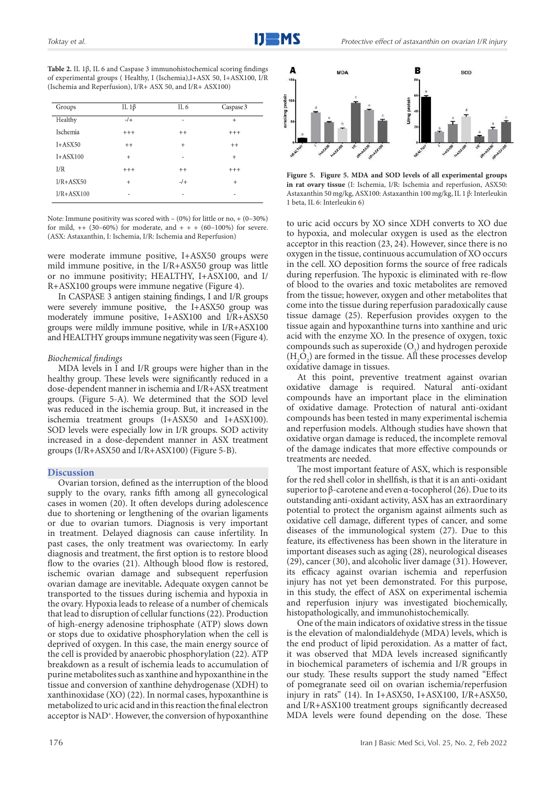**Table 2.** IL 1β, IL 6 and Caspase 3 immunohistochemical scoring findings of experimental groups ( Healthy, I (Ischemia),I+ASX 50, I+ASX100, I/R (Ischemia and Reperfusion), I/R+ ASX 50, and I/R+ ASX100)

| Groups         | IL $1\beta$ | IL <sub>6</sub> | Caspase 3 |
|----------------|-------------|-----------------|-----------|
| Healthy        | $-$ /+      | -               | $+$       |
| Ischemia       | $+ + +$     | $++$            | $+ + +$   |
| $I+ASK50$      | $++$        | $\ddot{}$       | $++$      |
| $I+ASK100$     | $+$         | ٠               | $+$       |
| I/R            | $+ + +$     | $++$            | $+ + +$   |
| $I/R + ASX50$  | $\ddot{}$   | $-1$            | $+$       |
| $I/R + ASX100$ | ٠           | ٠               | ٠         |

Note: Immune positivity was scored with – (0%) for little or no, + (0–30%) for mild,  $++$  (30–60%) for moderate, and  $++$  + (60–100%) for severe. (ASX: Astaxanthin, I: Ischemia, I/R: Ischemia and Reperfusion)

were moderate immune positive, I+ASX50 groups were mild immune positive, in the I/R+ASX50 group was little or no immune positivity; HEALTHY, I+ASX100, and I/ R+ASX100 groups were immune negative (Figure 4).

In CASPASE 3 antigen staining findings, I and I/R groups were severely immune positive, the I+ASX50 group was moderately immune positive, I+ASX100 and I/R+ASX50 groups were mildly immune positive, while in I/R+ASX100 and HEALTHY groups immune negativity was seen (Figure 4).

# *Biochemical findings*

MDA levels in I and I/R groups were higher than in the healthy group. These levels were significantly reduced in a dose-dependent manner in ischemia and I/R+ASX treatment groups. (Figure 5-A). We determined that the SOD level was reduced in the ischemia group. But, it increased in the ischemia treatment groups (I+ASX50 and I+ASX100). SOD levels were especially low in I/R groups. SOD activity increased in a dose-dependent manner in ASX treatment groups (I/R+ASX50 and I/R+ASX100) (Figure 5-B).

## **Discussion**

Ovarian torsion, defined as the interruption of the blood supply to the ovary, ranks fifth among all gynecological cases in women (20). It often develops during adolescence due to shortening or lengthening of the ovarian ligaments or due to ovarian tumors. Diagnosis is very important in treatment. Delayed diagnosis can cause infertility. In past cases, the only treatment was ovariectomy. In early diagnosis and treatment, the first option is to restore blood flow to the ovaries (21). Although blood flow is restored, ischemic ovarian damage and subsequent reperfusion ovarian damage are inevitable**.** Adequate oxygen cannot be transported to the tissues during ischemia and hypoxia in the ovary. Hypoxia leads to release of a number of chemicals that lead to disruption of cellular functions (22). Production of high-energy adenosine triphosphate (ATP) slows down or stops due to oxidative phosphorylation when the cell is deprived of oxygen. In this case, the main energy source of the cell is provided by anaerobic phosphorylation (22). ATP breakdown as a result of ischemia leads to accumulation of purine metabolites such as xanthine and hypoxanthine in the tissue and conversion of xanthine dehydrogenase (XDH) to xanthinoxidase (XO) (22). In normal cases, hypoxanthine is metabolized to uric acid and in this reaction the final electron acceptor is NAD+. However, the conversion of hypoxanthine



**Figure 5. Figure 5. MDA and SOD levels of all experimental groups in rat ovary tissue** (I: Ischemia, I/R: Ischemia and reperfusion, ASX50: Astaxanthin 50 mg/kg, ASX100: Astaxanthin 100 mg/kg, IL 1 β: Interleukin 1 beta, IL 6: Interleukin 6)

to uric acid occurs by XO since XDH converts to XO due to hypoxia, and molecular oxygen is used as the electron acceptor in this reaction (23, 24). However, since there is no oxygen in the tissue, continuous accumulation of XO occurs in the cell. XO deposition forms the source of free radicals during reperfusion. The hypoxic is eliminated with re-flow of blood to the ovaries and toxic metabolites are removed from the tissue; however, oxygen and other metabolites that come into the tissue during reperfusion paradoxically cause tissue damage (25). Reperfusion provides oxygen to the tissue again and hypoxanthine turns into xanthine and uric acid with the enzyme XO. In the presence of oxygen, toxic compounds such as superoxide  $(O_2)$  and hydrogen peroxide  $(H_2O_2)$  are formed in the tissue. All these processes develop oxidative damage in tissues.

At this point, preventive treatment against ovarian oxidative damage is required. Natural anti-oxidant compounds have an important place in the elimination of oxidative damage. Protection of natural anti-oxidant compounds has been tested in many experimental ischemia and reperfusion models. Although studies have shown that oxidative organ damage is reduced, the incomplete removal of the damage indicates that more effective compounds or treatments are needed.

The most important feature of ASX, which is responsible for the red shell color in shellfish, is that it is an anti-oxidant superior to β-carotene and even α-tocopherol (26). Due to its outstanding anti-oxidant activity, ASX has an extraordinary potential to protect the organism against ailments such as oxidative cell damage, different types of cancer, and some diseases of the immunological system (27). Due to this feature, its effectiveness has been shown in the literature in important diseases such as aging (28), neurological diseases (29), cancer (30), and alcoholic liver damage (31). However, its efficacy against ovarian ischemia and reperfusion injury has not yet been demonstrated. For this purpose, in this study, the effect of ASX on experimental ischemia and reperfusion injury was investigated biochemically, histopathologically, and immunohistochemically.

One of the main indicators of oxidative stress in the tissue is the elevation of malondialdehyde (MDA) levels, which is the end product of lipid peroxidation. As a matter of fact, it was observed that MDA levels increased significantly in biochemical parameters of ischemia and I/R groups in our study. These results support the study named "Effect of pomegranate seed oil on ovarian ischemia/reperfusion injury in rats" (14). In I+ASX50, I+ASX100, I/R+ASX50, and I/R+ASX100 treatment groups significantly decreased MDA levels were found depending on the dose. These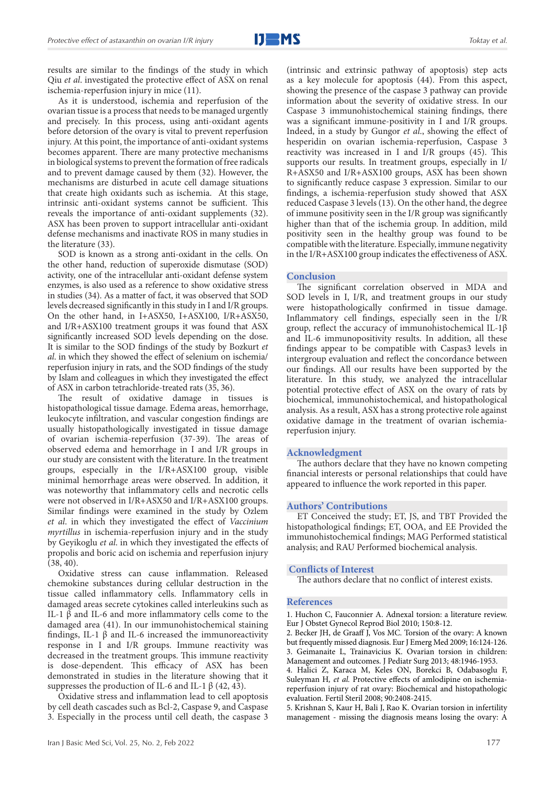results are similar to the findings of the study in which Qiu *et al*. investigated the protective effect of ASX on renal ischemia-reperfusion injury in mice (11).

As it is understood, ischemia and reperfusion of the ovarian tissue is a process that needs to be managed urgently and precisely. In this process, using anti-oxidant agents before detorsion of the ovary is vital to prevent reperfusion injury. At this point, the importance of anti-oxidant systems becomes apparent. There are many protective mechanisms in biological systems to prevent the formation of free radicals and to prevent damage caused by them (32). However, the mechanisms are disturbed in acute cell damage situations that create high oxidants such as ischemia. At this stage, intrinsic anti-oxidant systems cannot be sufficient. This reveals the importance of anti-oxidant supplements (32). ASX has been proven to support intracellular anti-oxidant defense mechanisms and inactivate ROS in many studies in the literature (33).

SOD is known as a strong anti-oxidant in the cells. On the other hand, reduction of superoxide dismutase (SOD) activity, one of the intracellular anti-oxidant defense system enzymes, is also used as a reference to show oxidative stress in studies (34). As a matter of fact, it was observed that SOD levels decreased significantly in this study in I and I/R groups. On the other hand, in I+ASX50, I+ASX100, I/R+ASX50, and I/R+ASX100 treatment groups it was found that ASX significantly increased SOD levels depending on the dose. It is similar to the SOD findings of the study by Bozkurt *et al*. in which they showed the effect of selenium on ischemia/ reperfusion injury in rats, and the SOD findings of the study by Islam and colleagues in which they investigated the effect of ASX in carbon tetrachloride-treated rats (35, 36).

The result of oxidative damage in tissues is histopathological tissue damage. Edema areas, hemorrhage, leukocyte infiltration, and vascular congestion findings are usually histopathologically investigated in tissue damage of ovarian ischemia-reperfusion (37-39). The areas of observed edema and hemorrhage in I and I/R groups in our study are consistent with the literature. In the treatment groups, especially in the I/R+ASX100 group, visible minimal hemorrhage areas were observed. In addition, it was noteworthy that inflammatory cells and necrotic cells were not observed in I/R+ASX50 and I/R+ASX100 groups. Similar findings were examined in the study by Ozlem *et al*. in which they investigated the effect of *Vaccinium myrtillus* in ischemia-reperfusion injury and in the study by Geyikoglu *et al*. in which they investigated the effects of propolis and boric acid on ischemia and reperfusion injury (38, 40).

Oxidative stress can cause inflammation. Released chemokine substances during cellular destruction in the tissue called inflammatory cells. Inflammatory cells in damaged areas secrete cytokines called interleukins such as IL-1 β and IL-6 and more inflammatory cells come to the damaged area (41). In our immunohistochemical staining findings, IL-1 β and IL-6 increased the immunoreactivity response in I and I/R groups. Immune reactivity was decreased in the treatment groups. This immune reactivity is dose-dependent. This efficacy of ASX has been demonstrated in studies in the literature showing that it suppresses the production of IL-6 and IL-1 β (42, 43).

Oxidative stress and inflammation lead to cell apoptosis by cell death cascades such as Bcl-2, Caspase 9, and Caspase 3. Especially in the process until cell death, the caspase 3 (intrinsic and extrinsic pathway of apoptosis) step acts as a key molecule for apoptosis (44). From this aspect, showing the presence of the caspase 3 pathway can provide information about the severity of oxidative stress. In our Caspase 3 immunohistochemical staining findings, there was a significant immune-positivity in I and I/R groups. Indeed, in a study by Gungor *et al*., showing the effect of hesperidin on ovarian ischemia-reperfusion, Caspase 3 reactivity was increased in I and I/R groups (45). This supports our results. In treatment groups, especially in I/ R+ASX50 and I/R+ASX100 groups, ASX has been shown to significantly reduce caspase 3 expression. Similar to our findings, a ischemia-reperfusion study showed that ASX reduced Caspase 3 levels (13). On the other hand, the degree of immune positivity seen in the I/R group was significantly higher than that of the ischemia group. In addition, mild positivity seen in the healthy group was found to be compatible with the literature. Especially, immune negativity in the I/R+ASX100 group indicates the effectiveness of ASX.

# **Conclusion**

The significant correlation observed in MDA and SOD levels in I, I/R, and treatment groups in our study were histopathologically confirmed in tissue damage. Inflammatory cell findings, especially seen in the I/R group, reflect the accuracy of immunohistochemical IL-1β and IL-6 immunopositivity results. In addition, all these findings appear to be compatible with Caspas3 levels in intergroup evaluation and reflect the concordance between our findings. All our results have been supported by the literature. In this study, we analyzed the intracellular potential protective effect of ASX on the ovary of rats by biochemical, immunohistochemical, and histopathological analysis. As a result, ASX has a strong protective role against oxidative damage in the treatment of ovarian ischemiareperfusion injury.

# **Acknowledgment**

The authors declare that they have no known competing financial interests or personal relationships that could have appeared to influence the work reported in this paper.

# **Authors' Contributions**

ET Conceived the study; ET, JS, and TBT Provided the histopathological findings; ET, OOA, and EE Provided the immunohistochemical findings; MAG Performed statistical analysis; and RAU Performed biochemical analysis.

# **Conflicts of Interest**

The authors declare that no conflict of interest exists.

#### **References**

1. Huchon C, Fauconnier A. Adnexal torsion: a literature review. Eur J Obstet Gynecol Reprod Biol 2010; 150:8-12.

2. Becker JH, de Graaff J, Vos MC. Torsion of the ovary: A known but frequently missed diagnosis. Eur J Emerg Med 2009; 16:124-126. 3. Geimanaite L, Trainavicius K. Ovarian torsion in children: Management and outcomes. J Pediatr Surg 2013; 48:1946-1953.

4. Halici Z, Karaca M, Keles ON, Borekci B, Odabasoglu F, Suleyman H*, et al.* Protective effects of amlodipine on ischemiareperfusion injury of rat ovary: Biochemical and histopathologic evaluation. Fertil Steril 2008; 90:2408-2415.

5. Krishnan S, Kaur H, Bali J, Rao K. Ovarian torsion in infertility management - missing the diagnosis means losing the ovary: A